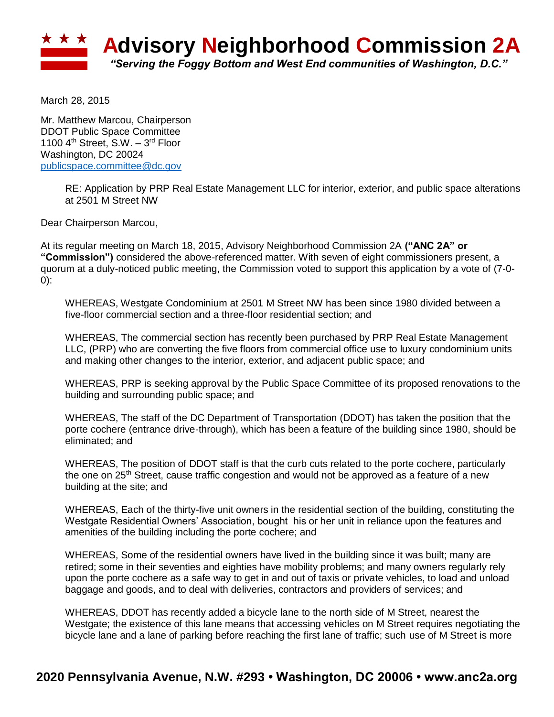

March 28, 2015

Mr. Matthew Marcou, Chairperson DDOT Public Space Committee 1100  $4<sup>th</sup>$  Street, S.W.  $-3<sup>rd</sup>$  Floor Washington, DC 20024 [publicspace.committee@dc.gov](mailto:publicspace.committee@dc.gov)

> RE: Application by PRP Real Estate Management LLC for interior, exterior, and public space alterations at 2501 M Street NW

Dear Chairperson Marcou,

At its regular meeting on March 18, 2015, Advisory Neighborhood Commission 2A **("ANC 2A" or "Commission")** considered the above-referenced matter. With seven of eight commissioners present, a quorum at a duly-noticed public meeting, the Commission voted to support this application by a vote of (7-0- 0):

WHEREAS, Westgate Condominium at 2501 M Street NW has been since 1980 divided between a five-floor commercial section and a three-floor residential section; and

WHEREAS, The commercial section has recently been purchased by PRP Real Estate Management LLC, (PRP) who are converting the five floors from commercial office use to luxury condominium units and making other changes to the interior, exterior, and adjacent public space; and

WHEREAS, PRP is seeking approval by the Public Space Committee of its proposed renovations to the building and surrounding public space; and

WHEREAS, The staff of the DC Department of Transportation (DDOT) has taken the position that the porte cochere (entrance drive-through), which has been a feature of the building since 1980, should be eliminated; and

WHEREAS, The position of DDOT staff is that the curb cuts related to the porte cochere, particularly the one on 25<sup>th</sup> Street, cause traffic congestion and would not be approved as a feature of a new building at the site; and

WHEREAS, Each of the thirty-five unit owners in the residential section of the building, constituting the Westgate Residential Owners' Association, bought his or her unit in reliance upon the features and amenities of the building including the porte cochere; and

WHEREAS, Some of the residential owners have lived in the building since it was built; many are retired; some in their seventies and eighties have mobility problems; and many owners regularly rely upon the porte cochere as a safe way to get in and out of taxis or private vehicles, to load and unload baggage and goods, and to deal with deliveries, contractors and providers of services; and

WHEREAS, DDOT has recently added a bicycle lane to the north side of M Street, nearest the Westgate; the existence of this lane means that accessing vehicles on M Street requires negotiating the bicycle lane and a lane of parking before reaching the first lane of traffic; such use of M Street is more